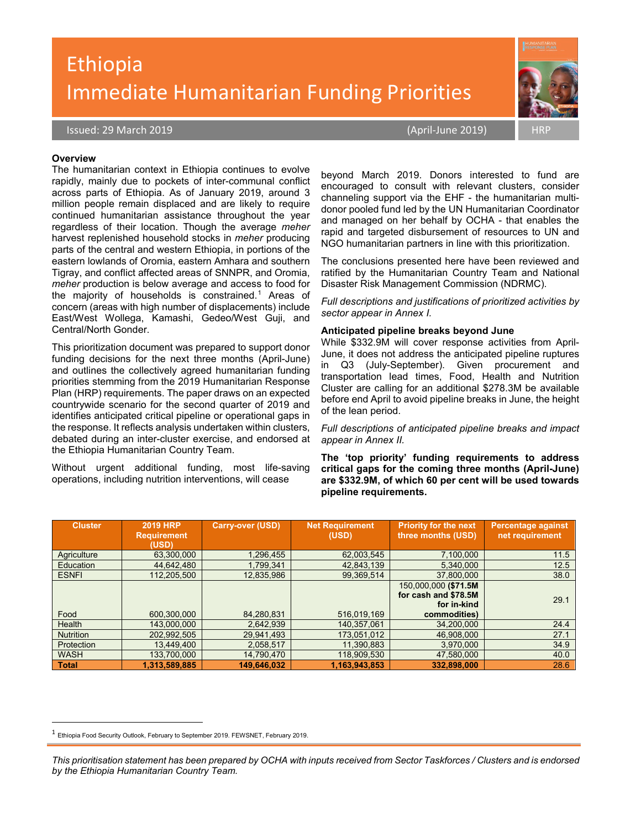# Ethiopia Immediate Humanitarian Funding Priorities



#### **Overview**

The humanitarian context in Ethiopia continues to evolve rapidly, mainly due to pockets of inter-communal conflict across parts of Ethiopia. As of January 2019, around 3 million people remain displaced and are likely to require continued humanitarian assistance throughout the year regardless of their location. Though the average *meher* harvest replenished household stocks in *meher* producing parts of the central and western Ethiopia, in portions of the eastern lowlands of Oromia, eastern Amhara and southern Tigray, and conflict affected areas of SNNPR, and Oromia, *meher* production is below average and access to food for the majority of households is constrained.<sup>[1](#page-0-0)</sup> Areas of concern (areas with high number of displacements) include East/West Wollega, Kamashi, Gedeo/West Guji, and Central/North Gonder.

This prioritization document was prepared to support donor funding decisions for the next three months (April-June) and outlines the collectively agreed humanitarian funding priorities stemming from the 2019 Humanitarian Response Plan (HRP) requirements. The paper draws on an expected countrywide scenario for the second quarter of 2019 and identifies anticipated critical pipeline or operational gaps in the response. It reflects analysis undertaken within clusters, debated during an inter-cluster exercise, and endorsed at the Ethiopia Humanitarian Country Team.

Without urgent additional funding, most life-saving operations, including nutrition interventions, will cease

beyond March 2019. Donors interested to fund are encouraged to consult with relevant clusters, consider channeling support via the EHF - the humanitarian multidonor pooled fund led by the UN Humanitarian Coordinator and managed on her behalf by OCHA - that enables the rapid and targeted disbursement of resources to UN and NGO humanitarian partners in line with this prioritization.

The conclusions presented here have been reviewed and ratified by the Humanitarian Country Team and National Disaster Risk Management Commission (NDRMC).

*Full descriptions and justifications of prioritized activities by sector appear in Annex I.* 

#### **Anticipated pipeline breaks beyond June**

While \$332.9M will cover response activities from April-June, it does not address the anticipated pipeline ruptures in Q3 (July-September). Given procurement and transportation lead times, Food, Health and Nutrition Cluster are calling for an additional \$278.3M be available before end April to avoid pipeline breaks in June, the height of the lean period.

*Full descriptions of anticipated pipeline breaks and impact appear in Annex II.*

**The 'top priority' funding requirements to address critical gaps for the coming three months (April-June) are \$332.9M, of which 60 per cent will be used towards pipeline requirements.** 

| <b>Cluster</b>   | <b>2019 HRP</b><br><b>Requirement</b> | <b>Carry-over (USD)</b> | <b>Net Requirement</b><br>(USD) | <b>Priority for the next</b><br>three months (USD). | <b>Percentage against</b><br>net requirement |
|------------------|---------------------------------------|-------------------------|---------------------------------|-----------------------------------------------------|----------------------------------------------|
|                  | (USD)                                 |                         |                                 |                                                     |                                              |
| Agriculture      | 63.300.000                            | 1.296.455               | 62,003,545                      | 7.100.000                                           | 11.5                                         |
| Education        | 44,642,480                            | 1,799,341               | 42,843,139                      | 5,340,000                                           | 12.5                                         |
| <b>ESNFI</b>     | 112,205,500                           | 12.835.986              | 99,369,514                      | 37.800.000                                          | 38.0                                         |
|                  |                                       |                         |                                 | 150.000.000 (\$71.5M                                |                                              |
|                  |                                       |                         |                                 | for cash and \$78.5M                                | 29.1                                         |
|                  |                                       |                         |                                 | for in-kind                                         |                                              |
| Food             | 600.300.000                           | 84,280,831              | 516.019.169                     | commodities)                                        |                                              |
| Health           | 143.000.000                           | 2.642.939               | 140.357.061                     | 34,200,000                                          | 24.4                                         |
| <b>Nutrition</b> | 202.992.505                           | 29.941.493              | 173.051.012                     | 46.908.000                                          | 27.1                                         |
| Protection       | 13.449.400                            | 2.058.517               | 11.390.883                      | 3.970.000                                           | 34.9                                         |
| <b>WASH</b>      | 133,700,000                           | 14,790,470              | 118,909,530                     | 47,580,000                                          | 40.0                                         |
| <b>Total</b>     | 1,313,589,885                         | 149,646,032             | 1,163,943,853                   | 332,898,000                                         | 28.6                                         |

<span id="page-0-0"></span> <sup>1</sup> Ethiopia Food Security Outlook, February to September 2019. FEWSNET, February 2019.

*This prioritisation statement has been prepared by OCHA with inputs received from Sector Taskforces / Clusters and is endorsed by the Ethiopia Humanitarian Country Team.*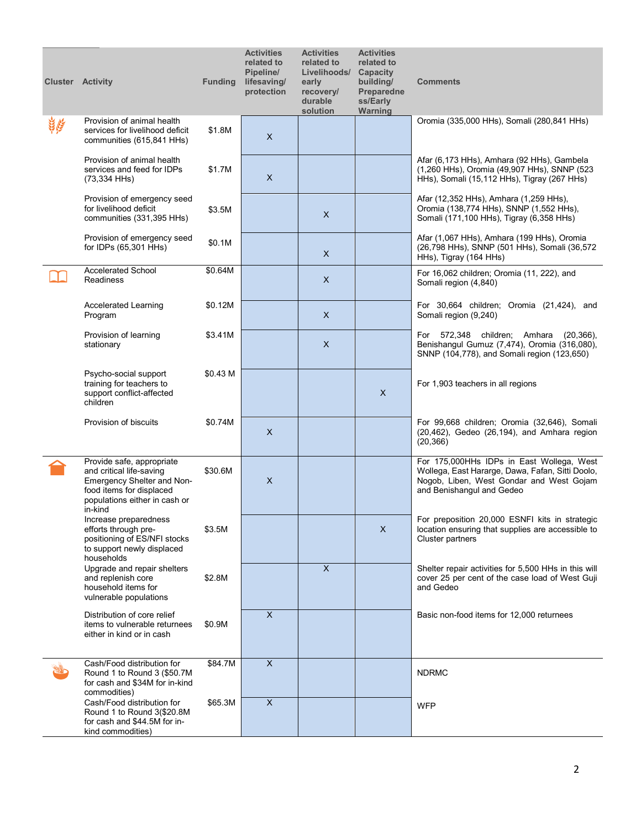| <b>Cluster Activity</b> |                                                                                                                                                             | <b>Funding</b> | <b>Activities</b><br>related to<br>Pipeline/<br>lifesaving/<br>protection | <b>Activities</b><br>related to<br>Livelihoods/<br>early<br>recovery/<br>durable<br>solution | <b>Activities</b><br>related to<br>Capacity<br>building/<br>Preparedne<br>ss/Early<br>Warning | <b>Comments</b>                                                                                                                                                        |
|-------------------------|-------------------------------------------------------------------------------------------------------------------------------------------------------------|----------------|---------------------------------------------------------------------------|----------------------------------------------------------------------------------------------|-----------------------------------------------------------------------------------------------|------------------------------------------------------------------------------------------------------------------------------------------------------------------------|
| <u>ئيم ئ</u>            | Provision of animal health<br>services for livelihood deficit<br>communities (615,841 HHs)                                                                  | \$1.8M         | X                                                                         |                                                                                              |                                                                                               | Oromia (335,000 HHs), Somali (280,841 HHs)                                                                                                                             |
|                         | Provision of animal health<br>services and feed for IDPs<br>(73,334 HHs)                                                                                    | \$1.7M         | X                                                                         |                                                                                              |                                                                                               | Afar (6,173 HHs), Amhara (92 HHs), Gambela<br>(1,260 HHs), Oromia (49,907 HHs), SNNP (523<br>HHs), Somali (15,112 HHs), Tigray (267 HHs)                               |
|                         | Provision of emergency seed<br>for livelihood deficit<br>communities (331,395 HHs)                                                                          | \$3.5M         |                                                                           | $\times$                                                                                     |                                                                                               | Afar (12,352 HHs), Amhara (1,259 HHs),<br>Oromia (138,774 HHs), SNNP (1,552 HHs),<br>Somali (171,100 HHs), Tigray (6,358 HHs)                                          |
|                         | Provision of emergency seed<br>for IDPs (65,301 HHs)                                                                                                        | \$0.1M         |                                                                           | $\times$                                                                                     |                                                                                               | Afar (1,067 HHs), Amhara (199 HHs), Oromia<br>(26,798 HHs), SNNP (501 HHs), Somali (36,572<br>HHs), Tigray (164 HHs)                                                   |
|                         | <b>Accelerated School</b><br><b>Readiness</b>                                                                                                               | \$0.64M        |                                                                           | X                                                                                            |                                                                                               | For 16,062 children; Oromia (11, 222), and<br>Somali region (4,840)                                                                                                    |
|                         | <b>Accelerated Learning</b><br>Program                                                                                                                      | \$0.12M        |                                                                           | X                                                                                            |                                                                                               | For 30,664 children; Oromia (21,424), and<br>Somali region (9,240)                                                                                                     |
|                         | Provision of learning<br>stationary                                                                                                                         | \$3.41M        |                                                                           | $\times$                                                                                     |                                                                                               | For 572,348 children; Amhara<br>$(20, 366)$ ,<br>Benishangul Gumuz (7,474), Oromia (316,080),<br>SNNP (104,778), and Somali region (123,650)                           |
|                         | Psycho-social support<br>training for teachers to<br>support conflict-affected<br>children                                                                  | \$0.43 M       |                                                                           |                                                                                              | $\pmb{\times}$                                                                                | For 1,903 teachers in all regions                                                                                                                                      |
|                         | Provision of biscuits                                                                                                                                       | \$0.74M        | X                                                                         |                                                                                              |                                                                                               | For 99,668 children; Oromia (32,646), Somali<br>(20,462), Gedeo (26,194), and Amhara region<br>(20, 366)                                                               |
|                         | Provide safe, appropriate<br>and critical life-saving<br>Emergency Shelter and Non-<br>food items for displaced<br>populations either in cash or<br>in-kind | \$30.6M        | X                                                                         |                                                                                              |                                                                                               | For 175,000HHs IDPs in East Wollega, West<br>Wollega, East Hararge, Dawa, Fafan, Sitti Doolo,<br>Nogob, Liben, West Gondar and West Gojam<br>and Benishangul and Gedeo |
|                         | Increase preparedness<br>efforts through pre-<br>positioning of ES/NFI stocks<br>to support newly displaced<br>households                                   | \$3.5M         |                                                                           |                                                                                              | $\mathsf{X}$                                                                                  | For preposition 20,000 ESNFI kits in strategic<br>location ensuring that supplies are accessible to<br><b>Cluster partners</b>                                         |
|                         | Upgrade and repair shelters<br>and replenish core<br>household items for<br>vulnerable populations                                                          | \$2.8M         |                                                                           | $\overline{X}$                                                                               |                                                                                               | Shelter repair activities for 5,500 HHs in this will<br>cover 25 per cent of the case load of West Guji<br>and Gedeo                                                   |
|                         | Distribution of core relief<br>items to vulnerable returnees<br>either in kind or in cash                                                                   | \$0.9M         | X                                                                         |                                                                                              |                                                                                               | Basic non-food items for 12,000 returnees                                                                                                                              |
|                         | Cash/Food distribution for<br>Round 1 to Round 3 (\$50.7M<br>for cash and \$34M for in-kind<br>commodities)                                                 | \$84.7M        | $\mathsf X$                                                               |                                                                                              |                                                                                               | <b>NDRMC</b>                                                                                                                                                           |
|                         | Cash/Food distribution for<br>Round 1 to Round 3(\$20.8M<br>for cash and \$44.5M for in-<br>kind commodities)                                               | \$65.3M        | X                                                                         |                                                                                              |                                                                                               | <b>WFP</b>                                                                                                                                                             |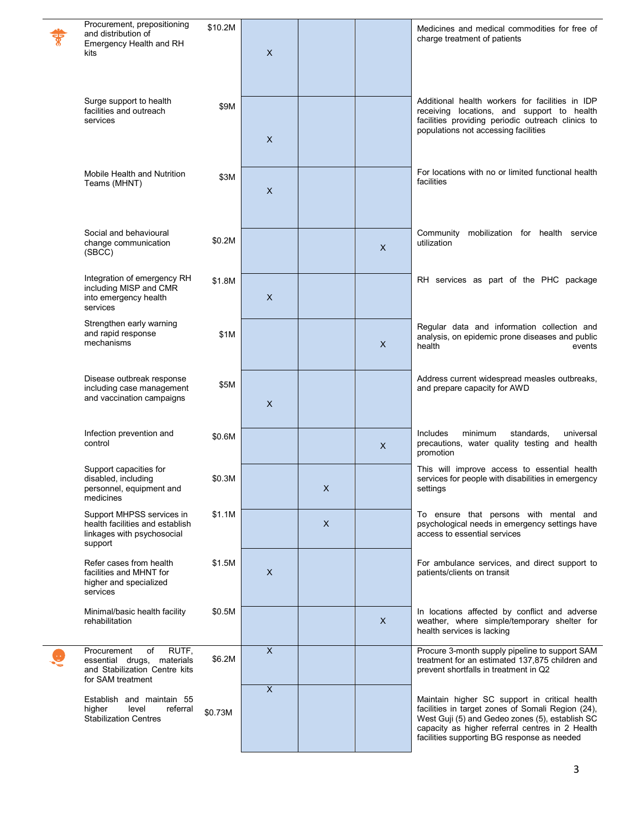| Procurement, prepositioning<br>and distribution of<br>Emergency Health and RH<br>kits                          | \$10.2M | X                         |   |              | Medicines and medical commodities for free of<br>charge treatment of patients                                                                                                                                                                           |
|----------------------------------------------------------------------------------------------------------------|---------|---------------------------|---|--------------|---------------------------------------------------------------------------------------------------------------------------------------------------------------------------------------------------------------------------------------------------------|
| Surge support to health<br>facilities and outreach<br>services                                                 | \$9M    | X                         |   |              | Additional health workers for facilities in IDP<br>receiving locations, and support to health<br>facilities providing periodic outreach clinics to<br>populations not accessing facilities                                                              |
| Mobile Health and Nutrition<br>Teams (MHNT)                                                                    | \$3M    | X                         |   |              | For locations with no or limited functional health<br>facilities                                                                                                                                                                                        |
| Social and behavioural<br>change communication<br>(SBCC)                                                       | \$0.2M  |                           |   | X            | Community mobilization for health service<br>utilization                                                                                                                                                                                                |
| Integration of emergency RH<br>including MISP and CMR<br>into emergency health<br>services                     | \$1.8M  | X                         |   |              | RH services as part of the PHC package                                                                                                                                                                                                                  |
| Strengthen early warning<br>and rapid response<br>mechanisms                                                   | \$1M    |                           |   | $\mathsf{X}$ | Regular data and information collection and<br>analysis, on epidemic prone diseases and public<br>health<br>events                                                                                                                                      |
| Disease outbreak response<br>including case management<br>and vaccination campaigns                            | \$5M    | $\times$                  |   |              | Address current widespread measles outbreaks,<br>and prepare capacity for AWD                                                                                                                                                                           |
| Infection prevention and<br>control                                                                            | \$0.6M  |                           |   | X            | Includes<br>minimum<br>standards.<br>universal<br>precautions, water quality testing and health<br>promotion                                                                                                                                            |
| Support capacities for<br>disabled, including<br>personnel, equipment and<br>medicines                         | \$0.3M  |                           | X |              | This will improve access to essential health<br>services for people with disabilities in emergency<br>settings                                                                                                                                          |
| Support MHPSS services in<br>health facilities and establish<br>linkages with psychosocial<br>support          | \$1.1M  |                           | X |              | To ensure that persons with mental and<br>psychological needs in emergency settings have<br>access to essential services                                                                                                                                |
| Refer cases from health<br>facilities and MHNT for<br>higher and specialized<br>services                       | \$1.5M  | X                         |   |              | For ambulance services, and direct support to<br>patients/clients on transit                                                                                                                                                                            |
| Minimal/basic health facility<br>rehabilitation                                                                | \$0.5M  |                           |   | X            | In locations affected by conflict and adverse<br>weather, where simple/temporary shelter for<br>health services is lacking                                                                                                                              |
| RUTF,<br>Procurement<br>of<br>essential drugs, materials<br>and Stabilization Centre kits<br>for SAM treatment | \$6.2M  | $\boldsymbol{\mathsf{X}}$ |   |              | Procure 3-month supply pipeline to support SAM<br>treatment for an estimated 137,875 children and<br>prevent shortfalls in treatment in Q2                                                                                                              |
| Establish and maintain 55<br>higher<br>level<br>referral<br><b>Stabilization Centres</b>                       | \$0.73M | $\boldsymbol{\mathsf{X}}$ |   |              | Maintain higher SC support in critical health<br>facilities in target zones of Somali Region (24),<br>West Guji (5) and Gedeo zones (5), establish SC<br>capacity as higher referral centres in 2 Health<br>facilities supporting BG response as needed |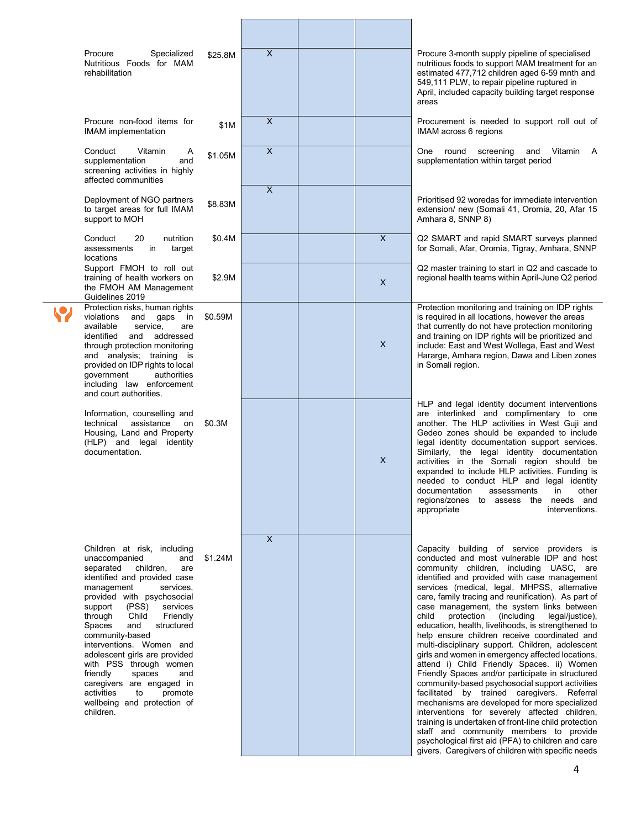| Procure<br>Specialized<br>Nutritious Foods for MAM<br>rehabilitation                                                                                                                                                                                                                                                                                                                                                                                                                                   | \$25.8M                      | $\overline{X}$            |                           | Procure 3-month supply pipeline of specialised<br>nutritious foods to support MAM treatment for an<br>estimated 477,712 children aged 6-59 mnth and<br>549,111 PLW, to repair pipeline ruptured in<br>April, included capacity building target response<br>areas                                                                                                                                                                                                                                                                                                                                                                                                                                                                                                                                                                                                                                                                                                                                                                                                                                                               |
|--------------------------------------------------------------------------------------------------------------------------------------------------------------------------------------------------------------------------------------------------------------------------------------------------------------------------------------------------------------------------------------------------------------------------------------------------------------------------------------------------------|------------------------------|---------------------------|---------------------------|--------------------------------------------------------------------------------------------------------------------------------------------------------------------------------------------------------------------------------------------------------------------------------------------------------------------------------------------------------------------------------------------------------------------------------------------------------------------------------------------------------------------------------------------------------------------------------------------------------------------------------------------------------------------------------------------------------------------------------------------------------------------------------------------------------------------------------------------------------------------------------------------------------------------------------------------------------------------------------------------------------------------------------------------------------------------------------------------------------------------------------|
| Procure non-food items for<br><b>IMAM</b> implementation                                                                                                                                                                                                                                                                                                                                                                                                                                               | \$1M                         | $\boldsymbol{\mathsf{X}}$ |                           | Procurement is needed to support roll out of<br>IMAM across 6 regions                                                                                                                                                                                                                                                                                                                                                                                                                                                                                                                                                                                                                                                                                                                                                                                                                                                                                                                                                                                                                                                          |
| Conduct<br>Vitamin<br>supplementation<br>screening activities in highly<br>affected communities                                                                                                                                                                                                                                                                                                                                                                                                        | Α<br>\$1.05M<br>and          | $\boldsymbol{\mathsf{X}}$ |                           | One<br>round<br>screening<br>and<br>Vitamin<br>A<br>supplementation within target period                                                                                                                                                                                                                                                                                                                                                                                                                                                                                                                                                                                                                                                                                                                                                                                                                                                                                                                                                                                                                                       |
| Deployment of NGO partners<br>to target areas for full IMAM<br>support to MOH                                                                                                                                                                                                                                                                                                                                                                                                                          | \$8.83M                      | $\overline{X}$            |                           | Prioritised 92 woredas for immediate intervention<br>extension/ new (Somali 41, Oromia, 20, Afar 15<br>Amhara 8, SNNP 8)                                                                                                                                                                                                                                                                                                                                                                                                                                                                                                                                                                                                                                                                                                                                                                                                                                                                                                                                                                                                       |
| Conduct<br>nutrition<br>20<br>assessments<br>in<br>locations                                                                                                                                                                                                                                                                                                                                                                                                                                           | \$0.4M<br>target             |                           | $\boldsymbol{\mathsf{X}}$ | Q2 SMART and rapid SMART surveys planned<br>for Somali, Afar, Oromia, Tigray, Amhara, SNNP                                                                                                                                                                                                                                                                                                                                                                                                                                                                                                                                                                                                                                                                                                                                                                                                                                                                                                                                                                                                                                     |
| Support FMOH to roll out<br>training of health workers on<br>the FMOH AM Management<br>Guidelines 2019                                                                                                                                                                                                                                                                                                                                                                                                 | \$2.9M                       |                           | $\mathsf{X}$              | Q2 master training to start in Q2 and cascade to<br>regional health teams within April-June Q2 period                                                                                                                                                                                                                                                                                                                                                                                                                                                                                                                                                                                                                                                                                                                                                                                                                                                                                                                                                                                                                          |
| Protection risks, human rights<br>violations<br>and<br>gaps<br>available<br>service,<br>and addressed<br>identified<br>through protection monitoring<br>and analysis; training is<br>provided on IDP rights to local<br>government<br>authorities<br>including law enforcement<br>and court authorities.                                                                                                                                                                                               | \$0.59M<br>in<br>are         |                           | $\times$                  | Protection monitoring and training on IDP rights<br>is required in all locations, however the areas<br>that currently do not have protection monitoring<br>and training on IDP rights will be prioritized and<br>include: East and West Wollega, East and West<br>Hararge, Amhara region, Dawa and Liben zones<br>in Somali region.                                                                                                                                                                                                                                                                                                                                                                                                                                                                                                                                                                                                                                                                                                                                                                                            |
| Information, counselling and<br>assistance<br>technical<br>Housing, Land and Property<br>(HLP) and legal identity<br>documentation.                                                                                                                                                                                                                                                                                                                                                                    | \$0.3M<br>on                 |                           | $\times$                  | HLP and legal identity document interventions<br>are interlinked and complimentary to one<br>another. The HLP activities in West Guji and<br>Gedeo zones should be expanded to include<br>legal identity documentation support services.<br>Similarly, the legal identity documentation<br>activities in the Somali region should be<br>expanded to include HLP activities. Funding is<br>needed to conduct HLP and legal identity<br>documentation assessments in other<br>regions/zones to assess the needs and<br>appropriate<br>interventions.                                                                                                                                                                                                                                                                                                                                                                                                                                                                                                                                                                             |
| Children at risk, including<br>unaccompanied<br>separated<br>children,<br>identified and provided case<br>management<br>services,<br>provided with psychosocial<br>(PSS)<br>services<br>support<br>Child<br>Friendly<br>through<br>structured<br>Spaces<br>and<br>community-based<br>interventions. Women and<br>adolescent girls are provided<br>with PSS through women<br>spaces<br>friendly<br>caregivers are engaged in<br>activities<br>to<br>promote<br>wellbeing and protection of<br>children. | and<br>\$1.24M<br>are<br>and | $\mathsf{X}$              |                           | Capacity building of service providers is<br>conducted and most vulnerable IDP and host<br>community children, including UASC, are<br>identified and provided with case management<br>services (medical, legal, MHPSS, alternative<br>care, family tracing and reunification). As part of<br>case management, the system links between<br>protection (including<br>legal/justice),<br>child<br>education, health, livelihoods, is strengthened to<br>help ensure children receive coordinated and<br>multi-disciplinary support. Children, adolescent<br>girls and women in emergency affected locations,<br>attend i) Child Friendly Spaces. ii) Women<br>Friendly Spaces and/or participate in structured<br>community-based psychosocial support activities<br>facilitated by trained caregivers. Referral<br>mechanisms are developed for more specialized<br>interventions for severely affected children,<br>training is undertaken of front-line child protection<br>staff and community members to provide<br>psychological first aid (PFA) to children and care<br>givers. Caregivers of children with specific needs |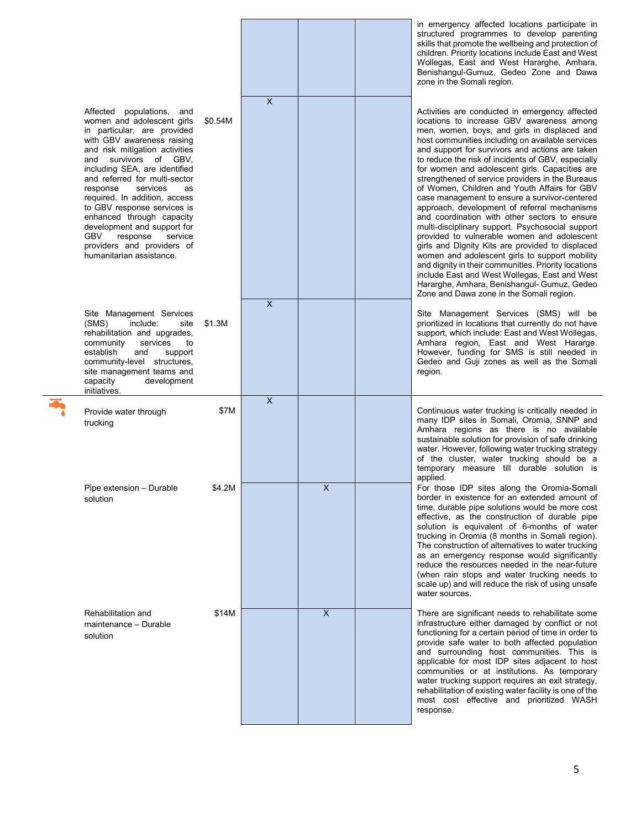|                                                                                                                                                                                                                                                                                                                                                                                                                                                                                                                         |         |                |         | in emergency affected locations participate in<br>structured programmes to develop parenting<br>skills that promote the wellbeing and protection of<br>children. Priority locations include East and West<br>Wollegas, East and West Hararghe, Amhara,<br>Benishangul-Gumuz, Gedeo Zone and Dawa<br>zone in the Somali region.                                                                                                                                                                                                                                                                                                                                                                                                                                                                                                                                                                                                                                                                                                |
|-------------------------------------------------------------------------------------------------------------------------------------------------------------------------------------------------------------------------------------------------------------------------------------------------------------------------------------------------------------------------------------------------------------------------------------------------------------------------------------------------------------------------|---------|----------------|---------|-------------------------------------------------------------------------------------------------------------------------------------------------------------------------------------------------------------------------------------------------------------------------------------------------------------------------------------------------------------------------------------------------------------------------------------------------------------------------------------------------------------------------------------------------------------------------------------------------------------------------------------------------------------------------------------------------------------------------------------------------------------------------------------------------------------------------------------------------------------------------------------------------------------------------------------------------------------------------------------------------------------------------------|
| Affected populations,<br>and<br>women and adolescent girls<br>in particular, are provided<br>with GBV awareness raising<br>and risk mitigation activities<br>survivors of GBV,<br>and<br>including SEA, are identified<br>and referred for multi-sector<br>services<br>response<br><b>as</b><br>required. In addition, access<br>to GBV response services is<br>enhanced through capacity<br>development and support for<br><b>GBV</b><br>response<br>service<br>providers and providers of<br>humanitarian assistance. | \$0.54M | $\mathsf{x}$   |         | Activities are conducted in emergency affected<br>locations to increase GBV awareness among<br>men, women, boys, and girls in displaced and<br>host communities including on available services<br>and support for survivors and actions are taken<br>to reduce the risk of incidents of GBV, especially<br>for women and adolescent girls. Capacities are<br>strengthened of service providers in the Bureaus<br>of Women, Children and Youth Affairs for GBV<br>case management to ensure a survivor-centered<br>approach, development of referral mechanisms<br>and coordination with other sectors to ensure<br>multi-disciplinary support. Psychosocial support<br>provided to vulnerable women and adolescent<br>girls and Dignity Kits are provided to displaced<br>women and adolescent girls to support mobility<br>and dignity in their communities. Priority locations<br>include East and West Wollegas, East and West<br>Hararghe, Amhara, Benishangul- Gumuz, Gedeo<br>Zone and Dawa zone in the Somali region. |
| Site Management Services<br>include:<br>(SMS)<br>site<br>rehabilitation and upgrades,<br>community<br>services<br>to<br>establish<br>and<br>support<br>community-level structures,<br>site management teams and<br>capacity<br>development<br>initiatives.                                                                                                                                                                                                                                                              | \$1.3M  | $\overline{X}$ |         | Site Management Services (SMS) will be<br>prioritized in locations that currently do not have<br>support, which include: East and West Wollegas,<br>Amhara region, East and West Hararge.<br>However, funding for SMS is still needed in<br>Gedeo and Guji zones as well as the Somali<br>region.                                                                                                                                                                                                                                                                                                                                                                                                                                                                                                                                                                                                                                                                                                                             |
| Provide water through<br>trucking                                                                                                                                                                                                                                                                                                                                                                                                                                                                                       | \$7M    | $\mathsf{x}$   |         | Continuous water trucking is critically needed in<br>many IDP sites in Somali, Oromia, SNNP and<br>Amhara regions as there is no available<br>sustainable solution for provision of safe drinking<br>water. However, following water trucking strategy<br>of the cluster, water trucking should be a<br>temporary measure till durable solution is<br>applied.                                                                                                                                                                                                                                                                                                                                                                                                                                                                                                                                                                                                                                                                |
| Pipe extension - Durable<br>solution                                                                                                                                                                                                                                                                                                                                                                                                                                                                                    | \$4.2M  |                | X       | For those IDP sites along the Oromia-Somali<br>border in existence for an extended amount of<br>time, durable pipe solutions would be more cost<br>effective, as the construction of durable pipe<br>solution is equivalent of 6-months of water<br>trucking in Oromia (8 months in Somali region).<br>The construction of alternatives to water trucking<br>as an emergency response would significantly<br>reduce the resources needed in the near-future<br>(when rain stops and water trucking needs to<br>scale up) and will reduce the risk of using unsafe<br>water sources.                                                                                                                                                                                                                                                                                                                                                                                                                                           |
| Rehabilitation and<br>maintenance - Durable<br>solution                                                                                                                                                                                                                                                                                                                                                                                                                                                                 | \$14M   |                | $\sf X$ | There are significant needs to rehabilitate some<br>infrastructure either damaged by conflict or not<br>functioning for a certain period of time in order to<br>provide safe water to both affected population<br>and surrounding host communities. This is<br>applicable for most IDP sites adjacent to host<br>communities or at institutions. As temporary<br>water trucking support requires an exit strategy,<br>rehabilitation of existing water facility is one of the<br>most cost effective and prioritized WASH<br>response.                                                                                                                                                                                                                                                                                                                                                                                                                                                                                        |

両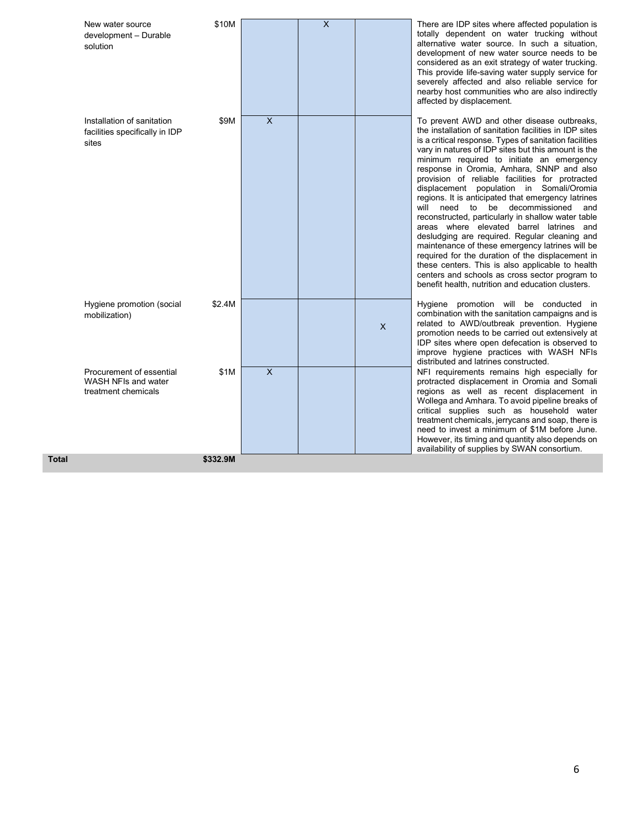| New water source<br>development - Durable<br>solution                  | \$10M    |                           | $\overline{\mathsf{X}}$ |         | There are IDP sites where affected population is<br>totally dependent on water trucking without<br>alternative water source. In such a situation,<br>development of new water source needs to be<br>considered as an exit strategy of water trucking.<br>This provide life-saving water supply service for<br>severely affected and also reliable service for<br>nearby host communities who are also indirectly<br>affected by displacement.                                                                                                                                                                                                                                                                                                                                                                                                                                                                                       |
|------------------------------------------------------------------------|----------|---------------------------|-------------------------|---------|-------------------------------------------------------------------------------------------------------------------------------------------------------------------------------------------------------------------------------------------------------------------------------------------------------------------------------------------------------------------------------------------------------------------------------------------------------------------------------------------------------------------------------------------------------------------------------------------------------------------------------------------------------------------------------------------------------------------------------------------------------------------------------------------------------------------------------------------------------------------------------------------------------------------------------------|
| Installation of sanitation<br>facilities specifically in IDP<br>sites  | \$9M     | $\boldsymbol{\mathsf{X}}$ |                         |         | To prevent AWD and other disease outbreaks,<br>the installation of sanitation facilities in IDP sites<br>is a critical response. Types of sanitation facilities<br>vary in natures of IDP sites but this amount is the<br>minimum required to initiate an emergency<br>response in Oromia, Amhara, SNNP and also<br>provision of reliable facilities for protracted<br>displacement population in Somali/Oromia<br>regions. It is anticipated that emergency latrines<br>will need to be decommissioned<br>and<br>reconstructed, particularly in shallow water table<br>areas where elevated barrel latrines and<br>desludging are required. Regular cleaning and<br>maintenance of these emergency latrines will be<br>required for the duration of the displacement in<br>these centers. This is also applicable to health<br>centers and schools as cross sector program to<br>benefit health, nutrition and education clusters. |
| Hygiene promotion (social<br>mobilization)                             | \$2.4M   |                           |                         | $\sf X$ | Hygiene promotion will be conducted in<br>combination with the sanitation campaigns and is<br>related to AWD/outbreak prevention. Hygiene<br>promotion needs to be carried out extensively at<br>IDP sites where open defecation is observed to<br>improve hygiene practices with WASH NFIs<br>distributed and latrines constructed.                                                                                                                                                                                                                                                                                                                                                                                                                                                                                                                                                                                                |
| Procurement of essential<br>WASH NFIs and water<br>treatment chemicals | \$1M     | $\overline{\mathsf{x}}$   |                         |         | NFI requirements remains high especially for<br>protracted displacement in Oromia and Somali<br>regions as well as recent displacement in<br>Wollega and Amhara. To avoid pipeline breaks of<br>critical supplies such as household water<br>treatment chemicals, jerrycans and soap, there is<br>need to invest a minimum of \$1M before June.<br>However, its timing and quantity also depends on<br>availability of supplies by SWAN consortium.                                                                                                                                                                                                                                                                                                                                                                                                                                                                                 |
|                                                                        | \$332.9M |                           |                         |         |                                                                                                                                                                                                                                                                                                                                                                                                                                                                                                                                                                                                                                                                                                                                                                                                                                                                                                                                     |

 $Total$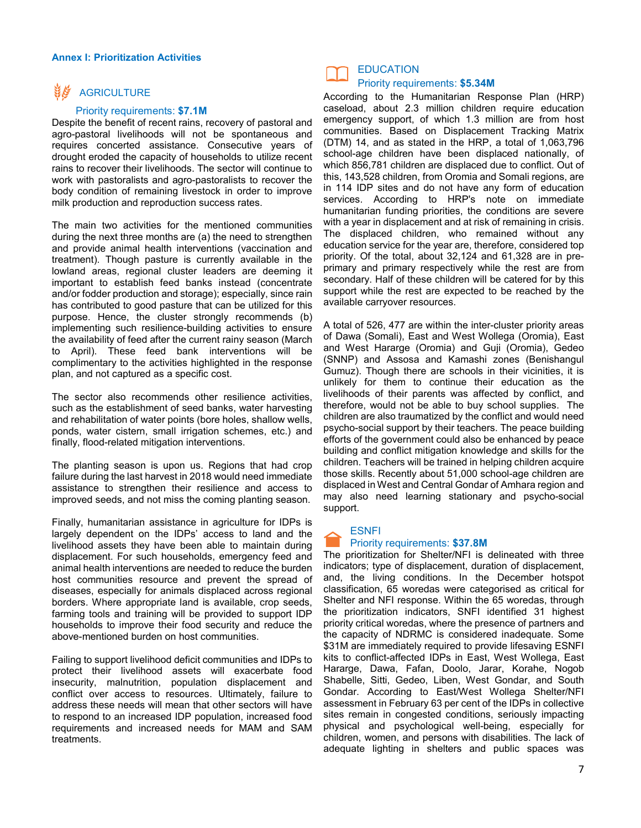#### **Annex I: Prioritization Activities**

### **NE** AGRICULTURE

#### Priority requirements: **\$7.1M**

Despite the benefit of recent rains, recovery of pastoral and agro-pastoral livelihoods will not be spontaneous and requires concerted assistance. Consecutive years of drought eroded the capacity of households to utilize recent rains to recover their livelihoods. The sector will continue to work with pastoralists and agro-pastoralists to recover the body condition of remaining livestock in order to improve milk production and reproduction success rates.

The main two activities for the mentioned communities during the next three months are (a) the need to strengthen and provide animal health interventions (vaccination and treatment). Though pasture is currently available in the lowland areas, regional cluster leaders are deeming it important to establish feed banks instead (concentrate and/or fodder production and storage); especially, since rain has contributed to good pasture that can be utilized for this purpose. Hence, the cluster strongly recommends (b) implementing such resilience-building activities to ensure the availability of feed after the current rainy season (March to April). These feed bank interventions will be complimentary to the activities highlighted in the response plan, and not captured as a specific cost.

The sector also recommends other resilience activities, such as the establishment of seed banks, water harvesting and rehabilitation of water points (bore holes, shallow wells, ponds, water cistern, small irrigation schemes, etc.) and finally, flood-related mitigation interventions.

The planting season is upon us. Regions that had crop failure during the last harvest in 2018 would need immediate assistance to strengthen their resilience and access to improved seeds, and not miss the coming planting season.

Finally, humanitarian assistance in agriculture for IDPs is largely dependent on the IDPs' access to land and the livelihood assets they have been able to maintain during displacement. For such households, emergency feed and animal health interventions are needed to reduce the burden host communities resource and prevent the spread of diseases, especially for animals displaced across regional borders. Where appropriate land is available, crop seeds, farming tools and training will be provided to support IDP households to improve their food security and reduce the above-mentioned burden on host communities.

Failing to support livelihood deficit communities and IDPs to protect their livelihood assets will exacerbate food insecurity, malnutrition, population displacement and conflict over access to resources. Ultimately, failure to address these needs will mean that other sectors will have to respond to an increased IDP population, increased food requirements and increased needs for MAM and SAM treatments.

## **EDUCATION**

#### Priority requirements: **\$5.34M**

According to the Humanitarian Response Plan (HRP) caseload, about 2.3 million children require education emergency support, of which 1.3 million are from host communities. Based on Displacement Tracking Matrix (DTM) 14, and as stated in the HRP, a total of 1,063,796 school-age children have been displaced nationally, of which 856,781 children are displaced due to conflict. Out of this, 143,528 children, from Oromia and Somali regions, are in 114 IDP sites and do not have any form of education services. According to HRP's note on immediate humanitarian funding priorities, the conditions are severe with a year in displacement and at risk of remaining in crisis. The displaced children, who remained without any education service for the year are, therefore, considered top priority. Of the total, about 32,124 and 61,328 are in preprimary and primary respectively while the rest are from secondary. Half of these children will be catered for by this support while the rest are expected to be reached by the available carryover resources.

A total of 526, 477 are within the inter-cluster priority areas of Dawa (Somali), East and West Wollega (Oromia), East and West Hararge (Oromia) and Guji (Oromia), Gedeo (SNNP) and Assosa and Kamashi zones (Benishangul Gumuz). Though there are schools in their vicinities, it is unlikely for them to continue their education as the livelihoods of their parents was affected by conflict, and therefore, would not be able to buy school supplies. The children are also traumatized by the conflict and would need psycho-social support by their teachers. The peace building efforts of the government could also be enhanced by peace building and conflict mitigation knowledge and skills for the children. Teachers will be trained in helping children acquire those skills. Recently about 51,000 school-age children are displaced in West and Central Gondar of Amhara region and may also need learning stationary and psycho-social support.

#### **ESNFI**

#### Priority requirements: **\$37.8M**

The prioritization for Shelter/NFI is delineated with three indicators; type of displacement, duration of displacement, and, the living conditions. In the December hotspot classification, 65 woredas were categorised as critical for Shelter and NFI response. Within the 65 woredas, through the prioritization indicators, SNFI identified 31 highest priority critical woredas, where the presence of partners and the capacity of NDRMC is considered inadequate. Some \$31M are immediately required to provide lifesaving ESNFI kits to conflict-affected IDPs in East, West Wollega, East Hararge, Dawa, Fafan, Doolo, Jarar, Korahe, Nogob Shabelle, Sitti, Gedeo, Liben, West Gondar, and South Gondar. According to East/West Wollega Shelter/NFI assessment in February 63 per cent of the IDPs in collective sites remain in congested conditions, seriously impacting physical and psychological well-being, especially for children, women, and persons with disabilities. The lack of adequate lighting in shelters and public spaces was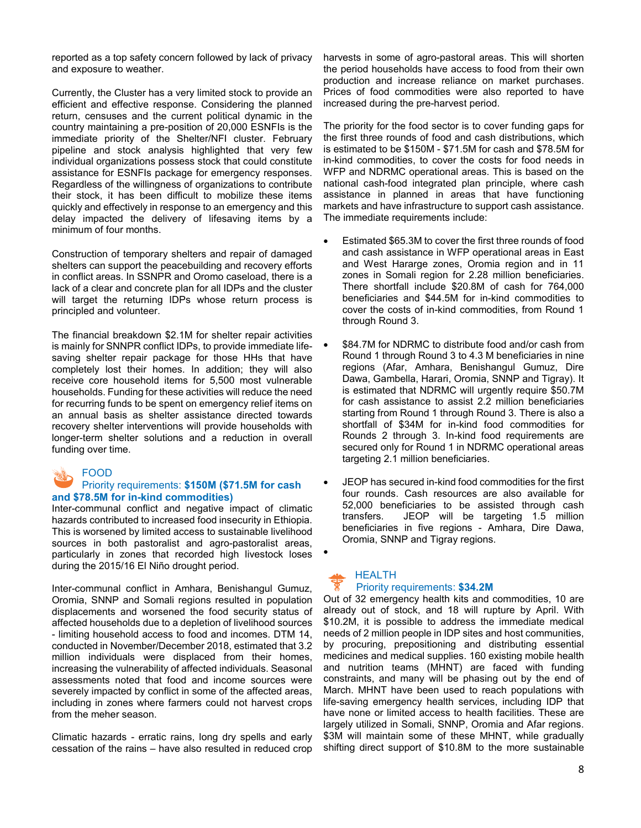reported as a top safety concern followed by lack of privacy and exposure to weather.

Currently, the Cluster has a very limited stock to provide an efficient and effective response. Considering the planned return, censuses and the current political dynamic in the country maintaining a pre-position of 20,000 ESNFIs is the immediate priority of the Shelter/NFI cluster. February pipeline and stock analysis highlighted that very few individual organizations possess stock that could constitute assistance for ESNFIs package for emergency responses. Regardless of the willingness of organizations to contribute their stock, it has been difficult to mobilize these items quickly and effectively in response to an emergency and this delay impacted the delivery of lifesaving items by a minimum of four months.

Construction of temporary shelters and repair of damaged shelters can support the peacebuilding and recovery efforts in conflict areas. In SSNPR and Oromo caseload, there is a lack of a clear and concrete plan for all IDPs and the cluster will target the returning IDPs whose return process is principled and volunteer.

The financial breakdown \$2.1M for shelter repair activities is mainly for SNNPR conflict IDPs, to provide immediate lifesaving shelter repair package for those HHs that have completely lost their homes. In addition; they will also receive core household items for 5,500 most vulnerable households. Funding for these activities will reduce the need for recurring funds to be spent on emergency relief items on an annual basis as shelter assistance directed towards recovery shelter interventions will provide households with longer-term shelter solutions and a reduction in overall funding over time.

#### FOOD

#### Priority requirements: **\$150M (\$71.5M for cash and \$78.5M for in-kind commodities)**

Inter-communal conflict and negative impact of climatic hazards contributed to increased food insecurity in Ethiopia. This is worsened by limited access to sustainable livelihood sources in both pastoralist and agro-pastoralist areas, particularly in zones that recorded high livestock loses during the 2015/16 El Niño drought period.

Inter-communal conflict in Amhara, Benishangul Gumuz, Oromia, SNNP and Somali regions resulted in population displacements and worsened the food security status of affected households due to a depletion of livelihood sources - limiting household access to food and incomes. DTM 14, conducted in November/December 2018, estimated that 3.2 million individuals were displaced from their homes, increasing the vulnerability of affected individuals. Seasonal assessments noted that food and income sources were severely impacted by conflict in some of the affected areas, including in zones where farmers could not harvest crops from the meher season.

Climatic hazards - erratic rains, long dry spells and early cessation of the rains – have also resulted in reduced crop harvests in some of agro-pastoral areas. This will shorten the period households have access to food from their own production and increase reliance on market purchases. Prices of food commodities were also reported to have increased during the pre-harvest period.

The priority for the food sector is to cover funding gaps for the first three rounds of food and cash distributions, which is estimated to be \$150M - \$71.5M for cash and \$78.5M for in-kind commodities, to cover the costs for food needs in WFP and NDRMC operational areas. This is based on the national cash-food integrated plan principle, where cash assistance in planned in areas that have functioning markets and have infrastructure to support cash assistance. The immediate requirements include:

- Estimated \$65.3M to cover the first three rounds of food and cash assistance in WFP operational areas in East and West Hararge zones, Oromia region and in 11 zones in Somali region for 2.28 million beneficiaries. There shortfall include \$20.8M of cash for 764,000 beneficiaries and \$44.5M for in-kind commodities to cover the costs of in-kind commodities, from Round 1 through Round 3.
- \$84.7M for NDRMC to distribute food and/or cash from Round 1 through Round 3 to 4.3 M beneficiaries in nine regions (Afar, Amhara, Benishangul Gumuz, Dire Dawa, Gambella, Harari, Oromia, SNNP and Tigray). It is estimated that NDRMC will urgently require \$50.7M for cash assistance to assist 2.2 million beneficiaries starting from Round 1 through Round 3. There is also a shortfall of \$34M for in-kind food commodities for Rounds 2 through 3. In-kind food requirements are secured only for Round 1 in NDRMC operational areas targeting 2.1 million beneficiaries.
- JEOP has secured in-kind food commodities for the first four rounds. Cash resources are also available for 52,000 beneficiaries to be assisted through cash transfers. JEOP will be targeting 1.5 million beneficiaries in five regions - Amhara, Dire Dawa, Oromia, SNNP and Tigray regions.

#### HEALTH Priority requirements: **\$34.2M**

•

Out of 32 emergency health kits and commodities, 10 are already out of stock, and 18 will rupture by April. With \$10.2M, it is possible to address the immediate medical needs of 2 million people in IDP sites and host communities, by procuring, prepositioning and distributing essential medicines and medical supplies. 160 existing mobile health and nutrition teams (MHNT) are faced with funding constraints, and many will be phasing out by the end of March. MHNT have been used to reach populations with life-saving emergency health services, including IDP that have none or limited access to health facilities. These are largely utilized in Somali, SNNP, Oromia and Afar regions. \$3M will maintain some of these MHNT, while gradually shifting direct support of \$10.8M to the more sustainable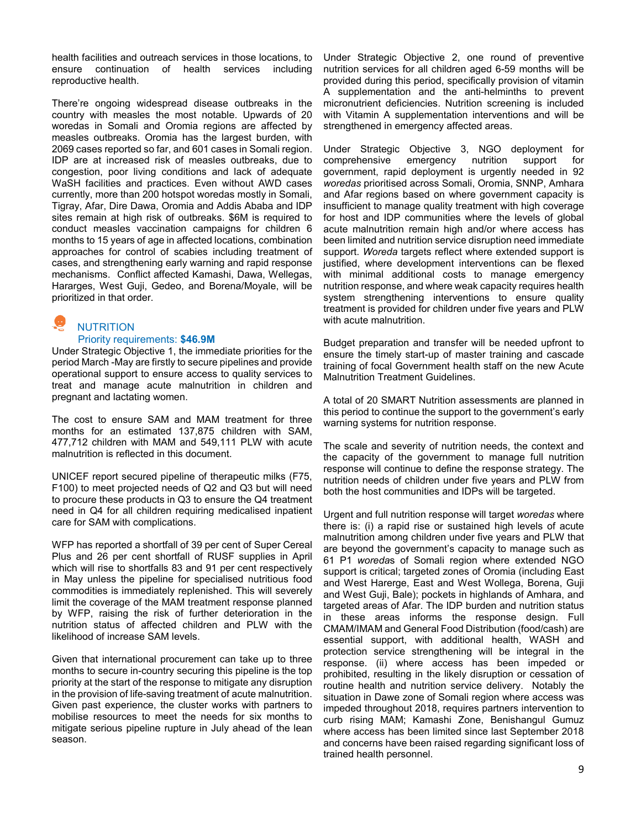health facilities and outreach services in those locations, to ensure continuation of health services including reproductive health.

There're ongoing widespread disease outbreaks in the country with measles the most notable. Upwards of 20 woredas in Somali and Oromia regions are affected by measles outbreaks. Oromia has the largest burden, with 2069 cases reported so far, and 601 cases in Somali region. IDP are at increased risk of measles outbreaks, due to congestion, poor living conditions and lack of adequate WaSH facilities and practices. Even without AWD cases currently, more than 200 hotspot woredas mostly in Somali, Tigray, Afar, Dire Dawa, Oromia and Addis Ababa and IDP sites remain at high risk of outbreaks. \$6M is required to conduct measles vaccination campaigns for children 6 months to 15 years of age in affected locations, combination approaches for control of scabies including treatment of cases, and strengthening early warning and rapid response mechanisms. Conflict affected Kamashi, Dawa, Wellegas, Hararges, West Guji, Gedeo, and Borena/Moyale, will be prioritized in that order.

# **NUTRITION**

#### Priority requirements: **\$46.9M**

Under Strategic Objective 1, the immediate priorities for the period March -May are firstly to secure pipelines and provide operational support to ensure access to quality services to treat and manage acute malnutrition in children and pregnant and lactating women.

The cost to ensure SAM and MAM treatment for three months for an estimated 137,875 children with SAM, 477,712 children with MAM and 549,111 PLW with acute malnutrition is reflected in this document.

UNICEF report secured pipeline of therapeutic milks (F75, F100) to meet projected needs of Q2 and Q3 but will need to procure these products in Q3 to ensure the Q4 treatment need in Q4 for all children requiring medicalised inpatient care for SAM with complications.

WFP has reported a shortfall of 39 per cent of Super Cereal Plus and 26 per cent shortfall of RUSF supplies in April which will rise to shortfalls 83 and 91 per cent respectively in May unless the pipeline for specialised nutritious food commodities is immediately replenished. This will severely limit the coverage of the MAM treatment response planned by WFP, raising the risk of further deterioration in the nutrition status of affected children and PLW with the likelihood of increase SAM levels.

Given that international procurement can take up to three months to secure in-country securing this pipeline is the top priority at the start of the response to mitigate any disruption in the provision of life-saving treatment of acute malnutrition. Given past experience, the cluster works with partners to mobilise resources to meet the needs for six months to mitigate serious pipeline rupture in July ahead of the lean season.

Under Strategic Objective 2, one round of preventive nutrition services for all children aged 6-59 months will be provided during this period, specifically provision of vitamin A supplementation and the anti-helminths to prevent micronutrient deficiencies. Nutrition screening is included with Vitamin A supplementation interventions and will be strengthened in emergency affected areas.

Under Strategic Objective 3, NGO deployment for comprehensive emergency nutrition support for government, rapid deployment is urgently needed in 92 *woredas* prioritised across Somali, Oromia, SNNP, Amhara and Afar regions based on where government capacity is insufficient to manage quality treatment with high coverage for host and IDP communities where the levels of global acute malnutrition remain high and/or where access has been limited and nutrition service disruption need immediate support. *Woreda* targets reflect where extended support is justified, where development interventions can be flexed with minimal additional costs to manage emergency nutrition response, and where weak capacity requires health system strengthening interventions to ensure quality treatment is provided for children under five years and PLW with acute malnutrition.

Budget preparation and transfer will be needed upfront to ensure the timely start-up of master training and cascade training of focal Government health staff on the new Acute Malnutrition Treatment Guidelines.

A total of 20 SMART Nutrition assessments are planned in this period to continue the support to the government's early warning systems for nutrition response.

The scale and severity of nutrition needs, the context and the capacity of the government to manage full nutrition response will continue to define the response strategy. The nutrition needs of children under five years and PLW from both the host communities and IDPs will be targeted.

Urgent and full nutrition response will target *woredas* where there is: (i) a rapid rise or sustained high levels of acute malnutrition among children under five years and PLW that are beyond the government's capacity to manage such as 61 P1 *woreda*s of Somali region where extended NGO support is critical; targeted zones of Oromia (including East and West Harerge, East and West Wollega, Borena, Guji and West Guji, Bale); pockets in highlands of Amhara, and targeted areas of Afar. The IDP burden and nutrition status in these areas informs the response design. Full CMAM/IMAM and General Food Distribution (food/cash) are essential support, with additional health, WASH and protection service strengthening will be integral in the response. (ii) where access has been impeded or prohibited, resulting in the likely disruption or cessation of routine health and nutrition service delivery. Notably the situation in Dawe zone of Somali region where access was impeded throughout 2018, requires partners intervention to curb rising MAM; Kamashi Zone, Benishangul Gumuz where access has been limited since last September 2018 and concerns have been raised regarding significant loss of trained health personnel.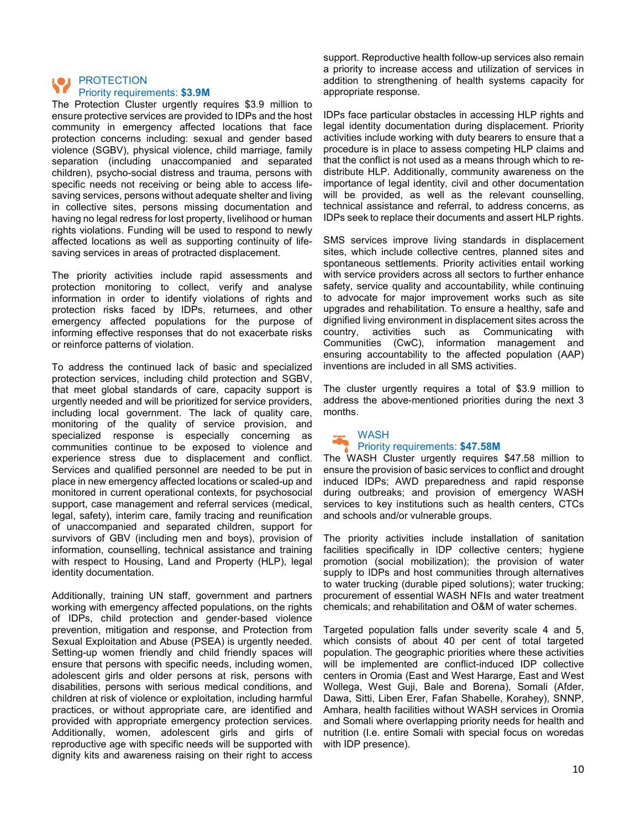#### PROTECTION Priority requirements: **\$3.9M**

The Protection Cluster urgently requires \$3.9 million to ensure protective services are provided to IDPs and the host community in emergency affected locations that face protection concerns including: sexual and gender based violence (SGBV), physical violence, child marriage, family separation (including unaccompanied and separated children), psycho-social distress and trauma, persons with specific needs not receiving or being able to access lifesaving services, persons without adequate shelter and living in collective sites, persons missing documentation and having no legal redress for lost property, livelihood or human rights violations. Funding will be used to respond to newly affected locations as well as supporting continuity of lifesaving services in areas of protracted displacement.

The priority activities include rapid assessments and protection monitoring to collect, verify and analyse information in order to identify violations of rights and protection risks faced by IDPs, returnees, and other emergency affected populations for the purpose of informing effective responses that do not exacerbate risks or reinforce patterns of violation.

To address the continued lack of basic and specialized protection services, including child protection and SGBV, that meet global standards of care, capacity support is urgently needed and will be prioritized for service providers, including local government. The lack of quality care, monitoring of the quality of service provision, and specialized response is especially concerning as communities continue to be exposed to violence and experience stress due to displacement and conflict. Services and qualified personnel are needed to be put in place in new emergency affected locations or scaled-up and monitored in current operational contexts, for psychosocial support, case management and referral services (medical, legal, safety), interim care, family tracing and reunification of unaccompanied and separated children, support for survivors of GBV (including men and boys), provision of information, counselling, technical assistance and training with respect to Housing, Land and Property (HLP), legal identity documentation.

Additionally, training UN staff, government and partners working with emergency affected populations, on the rights of IDPs, child protection and gender-based violence prevention, mitigation and response, and Protection from Sexual Exploitation and Abuse (PSEA) is urgently needed. Setting-up women friendly and child friendly spaces will ensure that persons with specific needs, including women, adolescent girls and older persons at risk, persons with disabilities, persons with serious medical conditions, and children at risk of violence or exploitation, including harmful practices, or without appropriate care, are identified and provided with appropriate emergency protection services. Additionally, women, adolescent girls and girls of reproductive age with specific needs will be supported with dignity kits and awareness raising on their right to access

support. Reproductive health follow-up services also remain a priority to increase access and utilization of services in addition to strengthening of health systems capacity for appropriate response.

IDPs face particular obstacles in accessing HLP rights and legal identity documentation during displacement. Priority activities include working with duty bearers to ensure that a procedure is in place to assess competing HLP claims and that the conflict is not used as a means through which to redistribute HLP. Additionally, community awareness on the importance of legal identity, civil and other documentation will be provided, as well as the relevant counselling, technical assistance and referral, to address concerns, as IDPs seek to replace their documents and assert HLP rights.

SMS services improve living standards in displacement sites, which include collective centres, planned sites and spontaneous settlements. Priority activities entail working with service providers across all sectors to further enhance safety, service quality and accountability, while continuing to advocate for major improvement works such as site upgrades and rehabilitation. To ensure a healthy, safe and dignified living environment in displacement sites across the country, activities such as Communicating with Communities (CwC), information management and ensuring accountability to the affected population (AAP) inventions are included in all SMS activities.

The cluster urgently requires a total of \$3.9 million to address the above-mentioned priorities during the next 3 months.

#### WASH Priority requirements: **\$47.58M**

The WASH Cluster urgently requires \$47.58 million to ensure the provision of basic services to conflict and drought induced IDPs; AWD preparedness and rapid response during outbreaks; and provision of emergency WASH services to key institutions such as health centers, CTCs and schools and/or vulnerable groups.

The priority activities include installation of sanitation facilities specifically in IDP collective centers; hygiene promotion (social mobilization); the provision of water supply to IDPs and host communities through alternatives to water trucking (durable piped solutions); water trucking; procurement of essential WASH NFIs and water treatment chemicals; and rehabilitation and O&M of water schemes.

Targeted population falls under severity scale 4 and 5, which consists of about 40 per cent of total targeted population. The geographic priorities where these activities will be implemented are conflict-induced IDP collective centers in Oromia (East and West Hararge, East and West Wollega, West Guji, Bale and Borena), Somali (Afder, Dawa, Sitti, Liben Erer, Fafan Shabelle, Korahey), SNNP, Amhara, health facilities without WASH services in Oromia and Somali where overlapping priority needs for health and nutrition (I.e. entire Somali with special focus on woredas with IDP presence).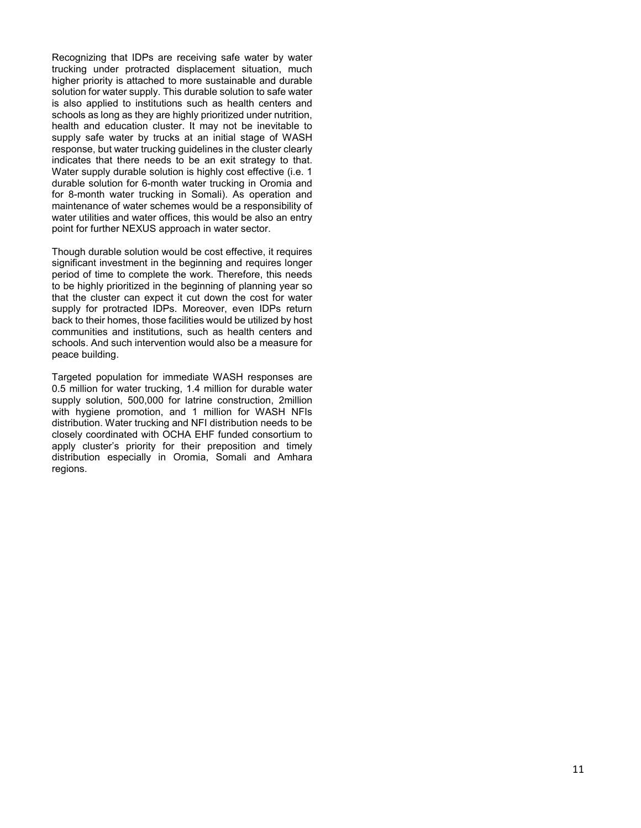Recognizing that IDPs are receiving safe water by water trucking under protracted displacement situation, much higher priority is attached to more sustainable and durable solution for water supply. This durable solution to safe water is also applied to institutions such as health centers and schools as long as they are highly prioritized under nutrition, health and education cluster. It may not be inevitable to supply safe water by trucks at an initial stage of WASH response, but water trucking guidelines in the cluster clearly indicates that there needs to be an exit strategy to that. Water supply durable solution is highly cost effective (i.e. 1 durable solution for 6-month water trucking in Oromia and for 8-month water trucking in Somali). As operation and maintenance of water schemes would be a responsibility of water utilities and water offices, this would be also an entry point for further NEXUS approach in water sector.

Though durable solution would be cost effective, it requires significant investment in the beginning and requires longer period of time to complete the work. Therefore, this needs to be highly prioritized in the beginning of planning year so that the cluster can expect it cut down the cost for water supply for protracted IDPs. Moreover, even IDPs return back to their homes, those facilities would be utilized by host communities and institutions, such as health centers and schools. And such intervention would also be a measure for peace building.

Targeted population for immediate WASH responses are 0.5 million for water trucking, 1.4 million for durable water supply solution, 500,000 for latrine construction, 2million with hygiene promotion, and 1 million for WASH NFIs distribution. Water trucking and NFI distribution needs to be closely coordinated with OCHA EHF funded consortium to apply cluster's priority for their preposition and timely distribution especially in Oromia, Somali and Amhara regions.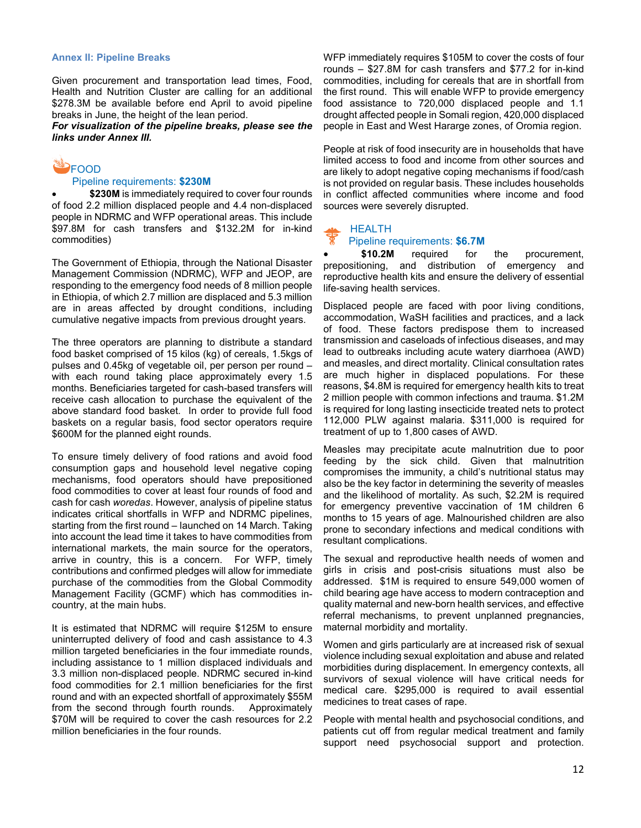#### **Annex II: Pipeline Breaks**

Given procurement and transportation lead times, Food, Health and Nutrition Cluster are calling for an additional \$278.3M be available before end April to avoid pipeline breaks in June, the height of the lean period.

*For visualization of the pipeline breaks, please see the links under Annex III.*

#### **ED**FOOD Pipeline requirements: **\$230M**

\$230M is immediately required to cover four rounds of food 2.2 million displaced people and 4.4 non-displaced people in NDRMC and WFP operational areas. This include \$97.8M for cash transfers and \$132.2M for in-kind commodities)

The Government of Ethiopia, through the National Disaster Management Commission (NDRMC), WFP and JEOP, are responding to the emergency food needs of 8 million people in Ethiopia, of which 2.7 million are displaced and 5.3 million are in areas affected by drought conditions, including cumulative negative impacts from previous drought years.

The three operators are planning to distribute a standard food basket comprised of 15 kilos (kg) of cereals, 1.5kgs of pulses and 0.45kg of vegetable oil, per person per round – with each round taking place approximately every 1.5 months. Beneficiaries targeted for cash-based transfers will receive cash allocation to purchase the equivalent of the above standard food basket. In order to provide full food baskets on a regular basis, food sector operators require \$600M for the planned eight rounds.

To ensure timely delivery of food rations and avoid food consumption gaps and household level negative coping mechanisms, food operators should have prepositioned food commodities to cover at least four rounds of food and cash for cash *woredas*. However, analysis of pipeline status indicates critical shortfalls in WFP and NDRMC pipelines, starting from the first round – launched on 14 March. Taking into account the lead time it takes to have commodities from international markets, the main source for the operators, arrive in country, this is a concern. For WFP, timely contributions and confirmed pledges will allow for immediate purchase of the commodities from the Global Commodity Management Facility (GCMF) which has commodities incountry, at the main hubs.

It is estimated that NDRMC will require \$125M to ensure uninterrupted delivery of food and cash assistance to 4.3 million targeted beneficiaries in the four immediate rounds, including assistance to 1 million displaced individuals and 3.3 million non-displaced people. NDRMC secured in-kind food commodities for 2.1 million beneficiaries for the first round and with an expected shortfall of approximately \$55M from the second through fourth rounds. Approximately \$70M will be required to cover the cash resources for 2.2 million beneficiaries in the four rounds.

WFP immediately requires \$105M to cover the costs of four rounds – \$27.8M for cash transfers and \$77.2 for in-kind commodities, including for cereals that are in shortfall from the first round. This will enable WFP to provide emergency food assistance to 720,000 displaced people and 1.1 drought affected people in Somali region, 420,000 displaced people in East and West Hararge zones, of Oromia region.

People at risk of food insecurity are in households that have limited access to food and income from other sources and are likely to adopt negative coping mechanisms if food/cash is not provided on regular basis. These includes households in conflict affected communities where income and food sources were severely disrupted.

#### HEALTH

#### Pipeline requirements: **\$6.7M**

\$10.2M required for the procurement, prepositioning, and distribution of emergency and reproductive health kits and ensure the delivery of essential life-saving health services.

Displaced people are faced with poor living conditions, accommodation, WaSH facilities and practices, and a lack of food. These factors predispose them to increased transmission and caseloads of infectious diseases, and may lead to outbreaks including acute watery diarrhoea (AWD) and measles, and direct mortality. Clinical consultation rates are much higher in displaced populations. For these reasons, \$4.8M is required for emergency health kits to treat 2 million people with common infections and trauma. \$1.2M is required for long lasting insecticide treated nets to protect 112,000 PLW against malaria. \$311,000 is required for treatment of up to 1,800 cases of AWD.

Measles may precipitate acute malnutrition due to poor feeding by the sick child. Given that malnutrition compromises the immunity, a child's nutritional status may also be the key factor in determining the severity of measles and the likelihood of mortality. As such, \$2.2M is required for emergency preventive vaccination of 1M children 6 months to 15 years of age. Malnourished children are also prone to secondary infections and medical conditions with resultant complications.

The sexual and reproductive health needs of women and girls in crisis and post-crisis situations must also be addressed. \$1M is required to ensure 549,000 women of child bearing age have access to modern contraception and quality maternal and new-born health services, and effective referral mechanisms, to prevent unplanned pregnancies, maternal morbidity and mortality.

Women and girls particularly are at increased risk of sexual violence including sexual exploitation and abuse and related morbidities during displacement. In emergency contexts, all survivors of sexual violence will have critical needs for medical care. \$295,000 is required to avail essential medicines to treat cases of rape.

People with mental health and psychosocial conditions, and patients cut off from regular medical treatment and family support need psychosocial support and protection.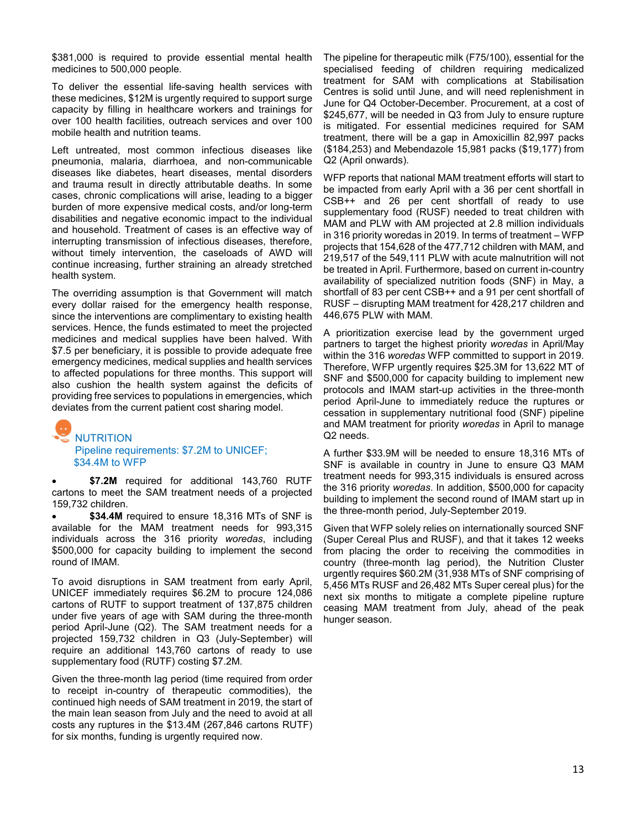\$381,000 is required to provide essential mental health medicines to 500,000 people.

To deliver the essential life-saving health services with these medicines, \$12M is urgently required to support surge capacity by filling in healthcare workers and trainings for over 100 health facilities, outreach services and over 100 mobile health and nutrition teams.

Left untreated, most common infectious diseases like pneumonia, malaria, diarrhoea, and non-communicable diseases like diabetes, heart diseases, mental disorders and trauma result in directly attributable deaths. In some cases, chronic complications will arise, leading to a bigger burden of more expensive medical costs, and/or long-term disabilities and negative economic impact to the individual and household. Treatment of cases is an effective way of interrupting transmission of infectious diseases, therefore, without timely intervention, the caseloads of AWD will continue increasing, further straining an already stretched health system.

The overriding assumption is that Government will match every dollar raised for the emergency health response, since the interventions are complimentary to existing health services. Hence, the funds estimated to meet the projected medicines and medical supplies have been halved. With \$7.5 per beneficiary, it is possible to provide adequate free emergency medicines, medical supplies and health services to affected populations for three months. This support will also cushion the health system against the deficits of providing free services to populations in emergencies, which deviates from the current patient cost sharing model.

# NUTRITION Pipeline requirements: \$7.2M to UNICEF; \$34.4M to WFP

\$7.2M required for additional 143,760 RUTF cartons to meet the SAM treatment needs of a projected 159,732 children.

\$34.4M required to ensure 18,316 MTs of SNF is available for the MAM treatment needs for 993,315 individuals across the 316 priority *woredas*, including \$500,000 for capacity building to implement the second round of IMAM.

To avoid disruptions in SAM treatment from early April, UNICEF immediately requires \$6.2M to procure 124,086 cartons of RUTF to support treatment of 137,875 children under five years of age with SAM during the three-month period April-June (Q2). The SAM treatment needs for a projected 159,732 children in Q3 (July-September) will require an additional 143,760 cartons of ready to use supplementary food (RUTF) costing \$7.2M.

Given the three-month lag period (time required from order to receipt in-country of therapeutic commodities), the continued high needs of SAM treatment in 2019, the start of the main lean season from July and the need to avoid at all costs any ruptures in the \$13.4M (267,846 cartons RUTF) for six months, funding is urgently required now.

The pipeline for therapeutic milk (F75/100), essential for the specialised feeding of children requiring medicalized treatment for SAM with complications at Stabilisation Centres is solid until June, and will need replenishment in June for Q4 October-December. Procurement, at a cost of \$245,677, will be needed in Q3 from July to ensure rupture is mitigated. For essential medicines required for SAM treatment, there will be a gap in Amoxicillin 82,997 packs (\$184,253) and Mebendazole 15,981 packs (\$19,177) from Q2 (April onwards).

WFP reports that national MAM treatment efforts will start to be impacted from early April with a 36 per cent shortfall in CSB++ and 26 per cent shortfall of ready to use supplementary food (RUSF) needed to treat children with MAM and PLW with AM projected at 2.8 million individuals in 316 priority woredas in 2019. In terms of treatment – WFP projects that 154,628 of the 477,712 children with MAM, and 219,517 of the 549,111 PLW with acute malnutrition will not be treated in April. Furthermore, based on current in-country availability of specialized nutrition foods (SNF) in May, a shortfall of 83 per cent CSB++ and a 91 per cent shortfall of RUSF – disrupting MAM treatment for 428,217 children and 446,675 PLW with MAM.

A prioritization exercise lead by the government urged partners to target the highest priority *woredas* in April/May within the 316 *woredas* WFP committed to support in 2019. Therefore, WFP urgently requires \$25.3M for 13,622 MT of SNF and \$500,000 for capacity building to implement new protocols and IMAM start-up activities in the three-month period April-June to immediately reduce the ruptures or cessation in supplementary nutritional food (SNF) pipeline and MAM treatment for priority *woredas* in April to manage Q2 needs.

A further \$33.9M will be needed to ensure 18,316 MTs of SNF is available in country in June to ensure Q3 MAM treatment needs for 993,315 individuals is ensured across the 316 priority *woredas*. In addition, \$500,000 for capacity building to implement the second round of IMAM start up in the three-month period, July-September 2019.

Given that WFP solely relies on internationally sourced SNF (Super Cereal Plus and RUSF), and that it takes 12 weeks from placing the order to receiving the commodities in country (three-month lag period), the Nutrition Cluster urgently requires \$60.2M (31,938 MTs of SNF comprising of 5,456 MTs RUSF and 26,482 MTs Super cereal plus) for the next six months to mitigate a complete pipeline rupture ceasing MAM treatment from July, ahead of the peak hunger season.